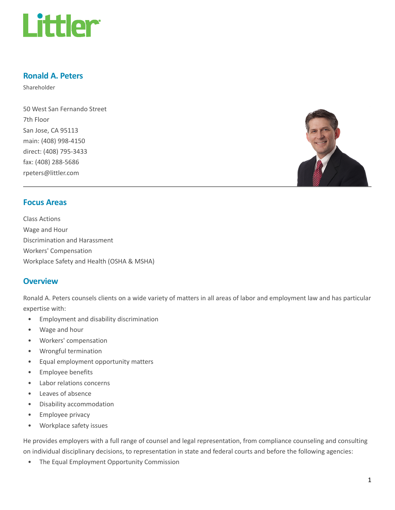

## Ronald A. Peters

Shareholder

50 West San Fernando Street 7th Floor San Jose, CA 95113 main: (408) 998-4150 direct: (408) 795-3433 fax: (408) 288-5686 rpeters@littler.com



## Focus Areas

Class Actions Wage and Hour Discrimination and Harassment Workers' Compensation Workplace Safety and Health (OSHA & MSHA)

## **Overview**

Ronald A. Peters counsels clients on a wide variety of matters in all areas of labor and employment law and has particular expertise with:

- Employment and disability discrimination
- Wage and hour
- Workers' compensation
- Wrongful termination
- Equal employment opportunity matters
- Employee benefits
- Labor relations concerns
- Leaves of absence
- Disability accommodation
- Employee privacy
- Workplace safety issues

He provides employers with a full range of counsel and legal representation, from compliance counseling and consulting on individual disciplinary decisions, to representation in state and federal courts and before the following agencies:

• The Equal Employment Opportunity Commission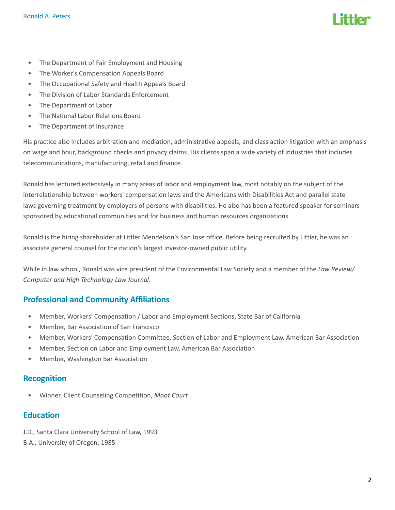- The Department of Fair Employment and Housing
- The Worker's Compensation Appeals Board
- The Occupational Safety and Health Appeals Board
- The Division of Labor Standards Enforcement
- The Department of Labor
- The National Labor Relations Board
- The Department of Insurance

His practice also includes arbitration and mediation, administrative appeals, and class action litigation with an emphasis on wage and hour, background checks and privacy claims. His clients span a wide variety of industries that includes telecommunications, manufacturing, retail and finance.

Ronald has lectured extensively in many areas of labor and employment law, most notably on the subject of the interrelationship between workers' compensation laws and the Americans with Disabilities Act and parallel state laws governing treatment by employers of persons with disabilities. He also has been a featured speaker for seminars sponsored by educational communities and for business and human resources organizations.

Ronald is the hiring shareholder at Littler Mendelson's San Jose office. Before being recruited by Littler, he was an associate general counsel for the nation's largest investor-owned public utility.

While in law school, Ronald was vice president of the Environmental Law Society and a member of the Law Review/ Computer and High Technology Law Journal.

# Professional and Community Affiliations

- Member, Workers' Compensation / Labor and Employment Sections, State Bar of California
- Member, Bar Association of San Francisco
- Member, Workers' Compensation Committee, Section of Labor and Employment Law, American Bar Association
- Member, Section on Labor and Employment Law, American Bar Association
- Member, Washington Bar Association

## Recognition

• Winner, Client Counseling Competition, Moot Court

## Education

J.D., Santa Clara University School of Law, 1993

B.A., University of Oregon, 1985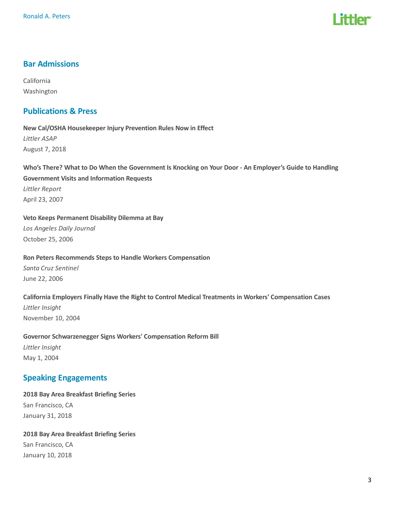

# Bar Admissions

California Washington

## Publications & Press

New Cal/OSHA Housekeeper Injury Prevention Rules Now in Effect Littler ASAP August 7, 2018

Who's There? What to Do When the Government Is Knocking on Your Door - An Employer's Guide to Handling Government Visits and Information Requests Littler Report April 23, 2007

Veto Keeps Permanent Disability Dilemma at Bay Los Angeles Daily Journal October 25, 2006

Ron Peters Recommends Steps to Handle Workers Compensation Santa Cruz Sentinel June 22, 2006

California Employers Finally Have the Right to Control Medical Treatments in Workers' Compensation Cases

Littler Insight November 10, 2004

Governor Schwarzenegger Signs Workers' Compensation Reform Bill Littler Insight May 1, 2004

# Speaking Engagements

2018 Bay Area Breakfast Briefing Series San Francisco, CA January 31, 2018

2018 Bay Area Breakfast Briefing Series San Francisco, CA January 10, 2018